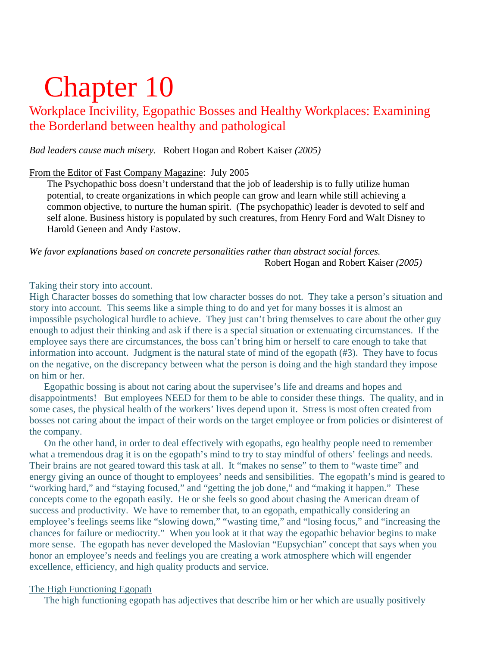# Chapter 10

# Workplace Incivility, Egopathic Bosses and Healthy Workplaces: Examining the Borderland between healthy and pathological

*Bad leaders cause much misery.* Robert Hogan and Robert Kaiser *(2005)* 

# From the Editor of Fast Company Magazine: July 2005

The Psychopathic boss doesn't understand that the job of leadership is to fully utilize human potential, to create organizations in which people can grow and learn while still achieving a common objective, to nurture the human spirit. (The psychopathic) leader is devoted to self and self alone. Business history is populated by such creatures, from Henry Ford and Walt Disney to Harold Geneen and Andy Fastow.

*We favor explanations based on concrete personalities rather than abstract social forces.* Robert Hogan and Robert Kaiser *(2005)*

# Taking their story into account.

High Character bosses do something that low character bosses do not. They take a person's situation and story into account. This seems like a simple thing to do and yet for many bosses it is almost an impossible psychological hurdle to achieve. They just can't bring themselves to care about the other guy enough to adjust their thinking and ask if there is a special situation or extenuating circumstances. If the employee says there are circumstances, the boss can't bring him or herself to care enough to take that information into account. Judgment is the natural state of mind of the egopath (#3). They have to focus on the negative, on the discrepancy between what the person is doing and the high standard they impose on him or her.

 Egopathic bossing is about not caring about the supervisee's life and dreams and hopes and disappointments! But employees NEED for them to be able to consider these things. The quality, and in some cases, the physical health of the workers' lives depend upon it. Stress is most often created from bosses not caring about the impact of their words on the target employee or from policies or disinterest of the company.

 On the other hand, in order to deal effectively with egopaths, ego healthy people need to remember what a tremendous drag it is on the egopath's mind to try to stay mindful of others' feelings and needs. Their brains are not geared toward this task at all. It "makes no sense" to them to "waste time" and energy giving an ounce of thought to employees' needs and sensibilities. The egopath's mind is geared to "working hard," and "staying focused," and "getting the job done," and "making it happen." These concepts come to the egopath easily. He or she feels so good about chasing the American dream of success and productivity. We have to remember that, to an egopath, empathically considering an employee's feelings seems like "slowing down," "wasting time," and "losing focus," and "increasing the chances for failure or mediocrity." When you look at it that way the egopathic behavior begins to make more sense. The egopath has never developed the Maslovian "Eupsychian" concept that says when you honor an employee's needs and feelings you are creating a work atmosphere which will engender excellence, efficiency, and high quality products and service.

# The High Functioning Egopath

The high functioning egopath has adjectives that describe him or her which are usually positively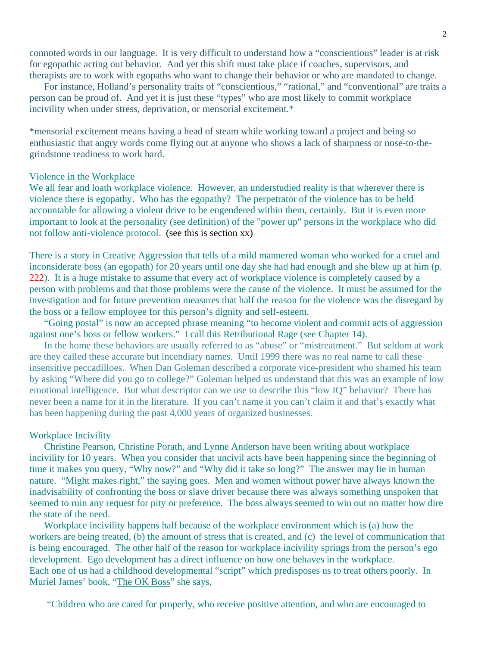connoted words in our language. It is very difficult to understand how a "conscientious" leader is at risk for egopathic acting out behavior. And yet this shift must take place if coaches, supervisors, and therapists are to work with egopaths who want to change their behavior or who are mandated to change.

 For instance, Holland's personality traits of "conscientious," "rational," and "conventional" are traits a person can be proud of. And yet it is just these "types" who are most likely to commit workplace incivility when under stress, deprivation, or mensorial excitement.\*

\*mensorial excitement means having a head of steam while working toward a project and being so enthusiastic that angry words come flying out at anyone who shows a lack of sharpness or nose-to-thegrindstone readiness to work hard.

#### Violence in the Workplace

We all fear and loath workplace violence. However, an understudied reality is that wherever there is violence there is egopathy. Who has the egopathy? The perpetrator of the violence has to be held accountable for allowing a violent drive to be engendered within them, certainly. But it is even more important to look at the personality (see definition) of the "power up" persons in the workplace who did not follow anti-violence protocol. (see this is section xx)

There is a story in Creative Aggression that tells of a mild mannered woman who worked for a cruel and inconsiderate boss (an egopath) for 20 years until one day she had had enough and she blew up at him (p. 222). It is a huge mistake to assume that every act of workplace violence is completely caused by a person with problems and that those problems were the cause of the violence. It must be assumed for the investigation and for future prevention measures that half the reason for the violence was the disregard by the boss or a fellow employee for this person's dignity and self-esteem.

 "Going postal" is now an accepted phrase meaning "to become violent and commit acts of aggression against one's boss or fellow workers." I call this Retributional Rage (see Chapter 14).

 In the home these behaviors are usually referred to as "abuse" or "mistreatment." But seldom at work are they called these accurate but incendiary names. Until 1999 there was no real name to call these insensitive peccadilloes. When Dan Goleman described a corporate vice-president who shamed his team by asking "Where did you go to college?" Goleman helped us understand that this was an example of low emotional intelligence. But what descriptor can we use to describe this "low IQ" behavior? There has never been a name for it in the literature. If you can't name it you can't claim it and that's exactly what has been happening during the past 4,000 years of organized businesses.

#### Workplace Incivility

 Christine Pearson, Christine Porath, and Lynne Anderson have been writing about workplace incivility for 10 years. When you consider that uncivil acts have been happening since the beginning of time it makes you query, "Why now?" and "Why did it take so long?" The answer may lie in human nature. "Might makes right," the saying goes. Men and women without power have always known the inadvisability of confronting the boss or slave driver because there was always something unspoken that seemed to ruin any request for pity or preference. The boss always seemed to win out no matter how dire the state of the need.

 Workplace incivility happens half because of the workplace environment which is (a) how the workers are being treated, (b) the amount of stress that is created, and (c) the level of communication that is being encouraged. The other half of the reason for workplace incivility springs from the person's ego development. Ego development has a direct influence on how one behaves in the workplace. Each one of us had a childhood developmental "script" which predisposes us to treat others poorly. In Muriel James' book, "The OK Boss" she says,

"Children who are cared for properly, who receive positive attention, and who are encouraged to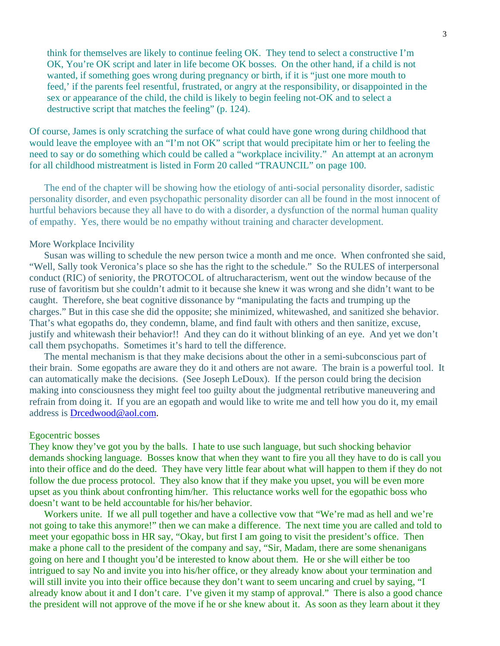think for themselves are likely to continue feeling OK. They tend to select a constructive I'm OK, You're OK script and later in life become OK bosses. On the other hand, if a child is not wanted, if something goes wrong during pregnancy or birth, if it is "just one more mouth to feed,' if the parents feel resentful, frustrated, or angry at the responsibility, or disappointed in the sex or appearance of the child, the child is likely to begin feeling not-OK and to select a destructive script that matches the feeling" (p. 124).

Of course, James is only scratching the surface of what could have gone wrong during childhood that would leave the employee with an "I'm not OK" script that would precipitate him or her to feeling the need to say or do something which could be called a "workplace incivility." An attempt at an acronym for all childhood mistreatment is listed in Form 20 called "TRAUNCIL" on page 100.

The end of the chapter will be showing how the etiology of anti-social personality disorder, sadistic personality disorder, and even psychopathic personality disorder can all be found in the most innocent of hurtful behaviors because they all have to do with a disorder, a dysfunction of the normal human quality of empathy. Yes, there would be no empathy without training and character development.

#### More Workplace Incivility

 Susan was willing to schedule the new person twice a month and me once. When confronted she said, "Well, Sally took Veronica's place so she has the right to the schedule." So the RULES of interpersonal conduct (RIC) of seniority, the PROTOCOL of altrucharacterism, went out the window because of the ruse of favoritism but she couldn't admit to it because she knew it was wrong and she didn't want to be caught. Therefore, she beat cognitive dissonance by "manipulating the facts and trumping up the charges." But in this case she did the opposite; she minimized, whitewashed, and sanitized she behavior. That's what egopaths do, they condemn, blame, and find fault with others and then sanitize, excuse, justify and whitewash their behavior!! And they can do it without blinking of an eye. And yet we don't call them psychopaths. Sometimes it's hard to tell the difference.

 The mental mechanism is that they make decisions about the other in a semi-subconscious part of their brain. Some egopaths are aware they do it and others are not aware. The brain is a powerful tool. It can automatically make the decisions. (See Joseph LeDoux). If the person could bring the decision making into consciousness they might feel too guilty about the judgmental retributive maneuvering and refrain from doing it. If you are an egopath and would like to write me and tell how you do it, my email address is Drcedwood@aol.com.

#### Egocentric bosses

They know they've got you by the balls. I hate to use such language, but such shocking behavior demands shocking language. Bosses know that when they want to fire you all they have to do is call you into their office and do the deed. They have very little fear about what will happen to them if they do not follow the due process protocol. They also know that if they make you upset, you will be even more upset as you think about confronting him/her. This reluctance works well for the egopathic boss who doesn't want to be held accountable for his/her behavior.

 Workers unite. If we all pull together and have a collective vow that "We're mad as hell and we're not going to take this anymore!" then we can make a difference. The next time you are called and told to meet your egopathic boss in HR say, "Okay, but first I am going to visit the president's office. Then make a phone call to the president of the company and say, "Sir, Madam, there are some shenanigans going on here and I thought you'd be interested to know about them. He or she will either be too intrigued to say No and invite you into his/her office, or they already know about your termination and will still invite you into their office because they don't want to seem uncaring and cruel by saying, "I already know about it and I don't care. I've given it my stamp of approval." There is also a good chance the president will not approve of the move if he or she knew about it. As soon as they learn about it they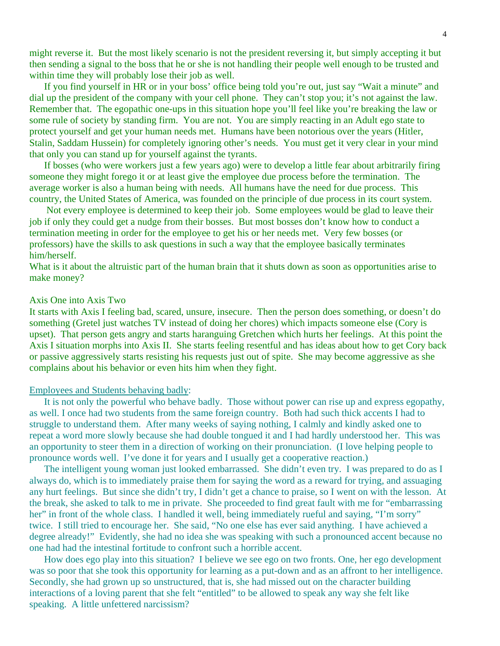might reverse it. But the most likely scenario is not the president reversing it, but simply accepting it but then sending a signal to the boss that he or she is not handling their people well enough to be trusted and within time they will probably lose their job as well.

 If you find yourself in HR or in your boss' office being told you're out, just say "Wait a minute" and dial up the president of the company with your cell phone. They can't stop you; it's not against the law. Remember that. The egopathic one-ups in this situation hope you'll feel like you're breaking the law or some rule of society by standing firm. You are not. You are simply reacting in an Adult ego state to protect yourself and get your human needs met. Humans have been notorious over the years (Hitler, Stalin, Saddam Hussein) for completely ignoring other's needs. You must get it very clear in your mind that only you can stand up for yourself against the tyrants.

 If bosses (who were workers just a few years ago) were to develop a little fear about arbitrarily firing someone they might forego it or at least give the employee due process before the termination. The average worker is also a human being with needs. All humans have the need for due process. This country, the United States of America, was founded on the principle of due process in its court system.

 Not every employee is determined to keep their job. Some employees would be glad to leave their job if only they could get a nudge from their bosses. But most bosses don't know how to conduct a termination meeting in order for the employee to get his or her needs met. Very few bosses (or professors) have the skills to ask questions in such a way that the employee basically terminates him/herself.

What is it about the altruistic part of the human brain that it shuts down as soon as opportunities arise to make money?

#### Axis One into Axis Two

It starts with Axis I feeling bad, scared, unsure, insecure. Then the person does something, or doesn't do something (Gretel just watches TV instead of doing her chores) which impacts someone else (Cory is upset). That person gets angry and starts haranguing Gretchen which hurts her feelings. At this point the Axis I situation morphs into Axis II. She starts feeling resentful and has ideas about how to get Cory back or passive aggressively starts resisting his requests just out of spite. She may become aggressive as she complains about his behavior or even hits him when they fight.

#### Employees and Students behaving badly:

 It is not only the powerful who behave badly. Those without power can rise up and express egopathy, as well. I once had two students from the same foreign country. Both had such thick accents I had to struggle to understand them. After many weeks of saying nothing, I calmly and kindly asked one to repeat a word more slowly because she had double tongued it and I had hardly understood her. This was an opportunity to steer them in a direction of working on their pronunciation. (I love helping people to pronounce words well. I've done it for years and I usually get a cooperative reaction.)

 The intelligent young woman just looked embarrassed. She didn't even try. I was prepared to do as I always do, which is to immediately praise them for saying the word as a reward for trying, and assuaging any hurt feelings. But since she didn't try, I didn't get a chance to praise, so I went on with the lesson. At the break, she asked to talk to me in private. She proceeded to find great fault with me for "embarrassing her" in front of the whole class. I handled it well, being immediately rueful and saying, "I'm sorry" twice. I still tried to encourage her. She said, "No one else has ever said anything. I have achieved a degree already!" Evidently, she had no idea she was speaking with such a pronounced accent because no one had had the intestinal fortitude to confront such a horrible accent.

 How does ego play into this situation? I believe we see ego on two fronts. One, her ego development was so poor that she took this opportunity for learning as a put-down and as an affront to her intelligence. Secondly, she had grown up so unstructured, that is, she had missed out on the character building interactions of a loving parent that she felt "entitled" to be allowed to speak any way she felt like speaking. A little unfettered narcissism?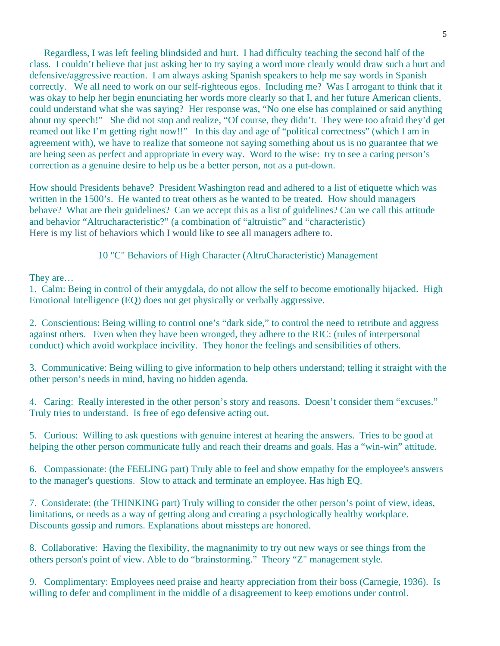Regardless, I was left feeling blindsided and hurt. I had difficulty teaching the second half of the class. I couldn't believe that just asking her to try saying a word more clearly would draw such a hurt and defensive/aggressive reaction. I am always asking Spanish speakers to help me say words in Spanish correctly. We all need to work on our self-righteous egos. Including me? Was I arrogant to think that it was okay to help her begin enunciating her words more clearly so that I, and her future American clients, could understand what she was saying? Her response was, "No one else has complained or said anything about my speech!" She did not stop and realize, "Of course, they didn't. They were too afraid they'd get reamed out like I'm getting right now!!" In this day and age of "political correctness" (which I am in agreement with), we have to realize that someone not saying something about us is no guarantee that we are being seen as perfect and appropriate in every way. Word to the wise: try to see a caring person's correction as a genuine desire to help us be a better person, not as a put-down.

How should Presidents behave? President Washington read and adhered to a list of etiquette which was written in the 1500's. He wanted to treat others as he wanted to be treated. How should managers behave? What are their guidelines? Can we accept this as a list of guidelines? Can we call this attitude and behavior "Altrucharacteristic?" (a combination of "altruistic" and "characteristic) Here is my list of behaviors which I would like to see all managers adhere to.

## 10 "C" Behaviors of High Character (AltruCharacteristic) Management

They are…

1. Calm: Being in control of their amygdala, do not allow the self to become emotionally hijacked. High Emotional Intelligence (EQ) does not get physically or verbally aggressive.

2. Conscientious: Being willing to control one's "dark side," to control the need to retribute and aggress against others. Even when they have been wronged, they adhere to the RIC: (rules of interpersonal conduct) which avoid workplace incivility. They honor the feelings and sensibilities of others.

3. Communicative: Being willing to give information to help others understand; telling it straight with the other person's needs in mind, having no hidden agenda.

4. Caring: Really interested in the other person's story and reasons. Doesn't consider them "excuses." Truly tries to understand. Is free of ego defensive acting out.

5. Curious: Willing to ask questions with genuine interest at hearing the answers. Tries to be good at helping the other person communicate fully and reach their dreams and goals. Has a "win-win" attitude.

6. Compassionate: (the FEELING part) Truly able to feel and show empathy for the employee's answers to the manager's questions. Slow to attack and terminate an employee. Has high EQ.

7. Considerate: (the THINKING part) Truly willing to consider the other person's point of view, ideas, limitations, or needs as a way of getting along and creating a psychologically healthy workplace. Discounts gossip and rumors. Explanations about missteps are honored.

8. Collaborative: Having the flexibility, the magnanimity to try out new ways or see things from the others person's point of view. Able to do "brainstorming." Theory "Z" management style.

9. Complimentary: Employees need praise and hearty appreciation from their boss (Carnegie, 1936). Is willing to defer and compliment in the middle of a disagreement to keep emotions under control.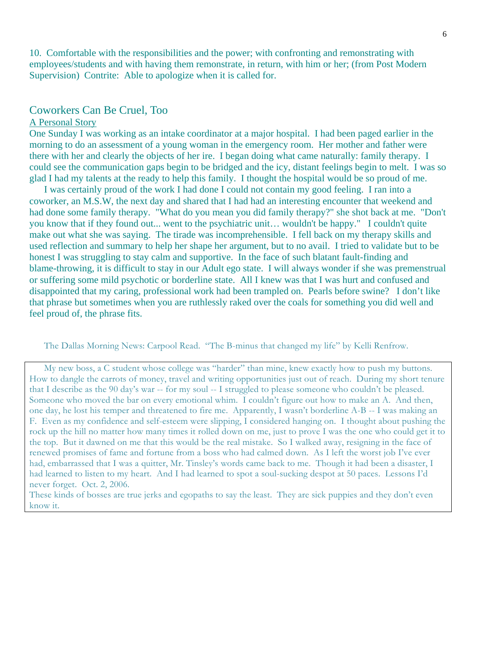10. Comfortable with the responsibilities and the power; with confronting and remonstrating with employees/students and with having them remonstrate, in return, with him or her; (from Post Modern Supervision) Contrite: Able to apologize when it is called for.

### Coworkers Can Be Cruel, Too

#### A Personal Story

One Sunday I was working as an intake coordinator at a major hospital. I had been paged earlier in the morning to do an assessment of a young woman in the emergency room. Her mother and father were there with her and clearly the objects of her ire. I began doing what came naturally: family therapy. I could see the communication gaps begin to be bridged and the icy, distant feelings begin to melt. I was so glad I had my talents at the ready to help this family. I thought the hospital would be so proud of me.

 I was certainly proud of the work I had done I could not contain my good feeling. I ran into a coworker, an M.S.W, the next day and shared that I had had an interesting encounter that weekend and had done some family therapy. "What do you mean you did family therapy?" she shot back at me. "Don't you know that if they found out... went to the psychiatric unit… wouldn't be happy." I couldn't quite make out what she was saying. The tirade was incomprehensible. I fell back on my therapy skills and used reflection and summary to help her shape her argument, but to no avail. I tried to validate but to be honest I was struggling to stay calm and supportive. In the face of such blatant fault-finding and blame-throwing, it is difficult to stay in our Adult ego state. I will always wonder if she was premenstrual or suffering some mild psychotic or borderline state. All I knew was that I was hurt and confused and disappointed that my caring, professional work had been trampled on. Pearls before swine? I don't like that phrase but sometimes when you are ruthlessly raked over the coals for something you did well and feel proud of, the phrase fits.

The Dallas Morning News: Carpool Read. "The B-minus that changed my life" by Kelli Renfrow.

My new boss, a C student whose college was "harder" than mine, knew exactly how to push my buttons. How to dangle the carrots of money, travel and writing opportunities just out of reach. During my short tenure that I describe as the 90 day's war -- for my soul -- I struggled to please someone who couldn't be pleased. Someone who moved the bar on every emotional whim. I couldn't figure out how to make an A. And then, one day, he lost his temper and threatened to fire me. Apparently, I wasn't borderline A-B -- I was making an F. Even as my confidence and self-esteem were slipping, I considered hanging on. I thought about pushing the rock up the hill no matter how many times it rolled down on me, just to prove I was the one who could get it to the top. But it dawned on me that this would be the real mistake. So I walked away, resigning in the face of renewed promises of fame and fortune from a boss who had calmed down. As I left the worst job I've ever had, embarrassed that I was a quitter, Mr. Tinsley's words came back to me. Though it had been a disaster, I had learned to listen to my heart. And I had learned to spot a soul-sucking despot at 50 paces. Lessons I'd never forget. Oct. 2, 2006.

These kinds of bosses are true jerks and egopaths to say the least. They are sick puppies and they don't even know it.